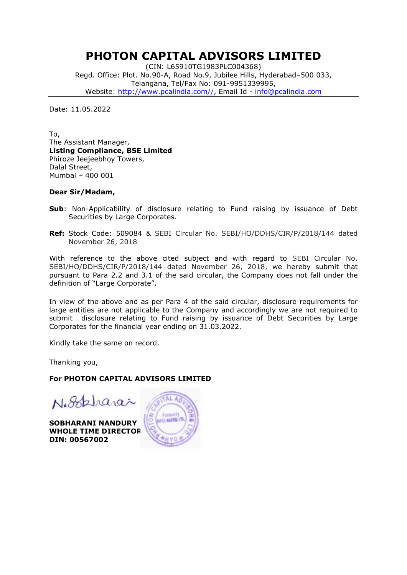## PHOTON CAPITAL ADVISORS LIMITED

(CIN: L65910TG1983PLC004368) Regd. Office: Plot. No.90-A, Road No.9, Jubilee Hills, Hyderabad–500 033, Telangana, Tel/Fax No: 091-9951339995, Website: http://www.pcalindia.com//, Email Id - info@pcalindia.com

Date: 11.05.2022

To, The Assistant Manager, Listing Compliance, BSE Limited Phiroze Jeejeebhoy Towers, Dalal Street, Mumbai – 400 001

### Dear Sir/Madam,

- Sub: Non-Applicability of disclosure relating to Fund raising by issuance of Debt Securities by Large Corporates.
- Ref: Stock Code: 509084 & SEBI Circular No. SEBI/HO/DDHS/CIR/P/2018/144 dated November 26, 2018

With reference to the above cited subject and with regard to SEBI Circular No. SEBI/HO/DDHS/CIR/P/2018/144 dated November 26, 2018, we hereby submit that pursuant to Para 2.2 and 3.1 of the said circular, the Company does not fall under the definition of "Large Corporate".

In view of the above and as per Para 4 of the said circular, disclosure requirements for large entities are not applicable to the Company and accordingly we are not required to submit disclosure relating to Fund raising by issuance of Debt Securities by Large Corporates for the financial year ending on 31.03.2022.

Kindly take the same on record.

Thanking you,

### For PHOTON CAPITAL ADVISORS LIMITED

Nogelparas

SOBHARANI NANDURY WHOLE TIME DIRECTOR DIN: 00567002